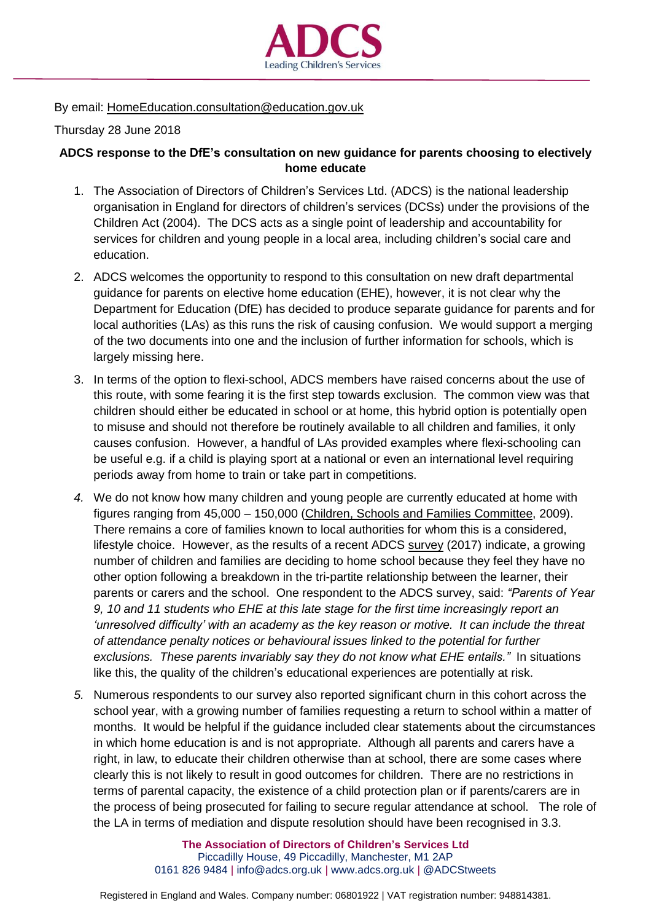

## By email: [HomeEducation.consultation@education.gov.uk](mailto:HomeEducation.consultation@education.gov.uk)

## Thursday 28 June 2018

## **ADCS response to the DfE's consultation on new guidance for parents choosing to electively home educate**

- 1. The Association of Directors of Children's Services Ltd. (ADCS) is the national leadership organisation in England for directors of children's services (DCSs) under the provisions of the Children Act (2004). The DCS acts as a single point of leadership and accountability for services for children and young people in a local area, including children's social care and education.
- 2. ADCS welcomes the opportunity to respond to this consultation on new draft departmental guidance for parents on elective home education (EHE), however, it is not clear why the Department for Education (DfE) has decided to produce separate guidance for parents and for local authorities (LAs) as this runs the risk of causing confusion. We would support a merging of the two documents into one and the inclusion of further information for schools, which is largely missing here.
- 3. In terms of the option to flexi-school, ADCS members have raised concerns about the use of this route, with some fearing it is the first step towards exclusion. The common view was that children should either be educated in school or at home, this hybrid option is potentially open to misuse and should not therefore be routinely available to all children and families, it only causes confusion. However, a handful of LAs provided examples where flexi-schooling can be useful e.g. if a child is playing sport at a national or even an international level requiring periods away from home to train or take part in competitions.
- *4.* We do not know how many children and young people are currently educated at home with figures ranging from 45,000 – 150,000 (Children, Schools and Families [Committee,](https://publications.parliament.uk/pa/cm200910/cmselect/cmchilsch/39/39i.pdf) 2009). There remains a core of families known to local authorities for whom this is a considered, lifestyle choice. However, as the results of a recent ADCS [survey](http://adcs.org.uk/assets/documentation/ADCS_EHE_Survey_Analysis_2017_FINAL.pdf) (2017) indicate, a growing number of children and families are deciding to home school because they feel they have no other option following a breakdown in the tri-partite relationship between the learner, their parents or carers and the school. One respondent to the ADCS survey, said: *"Parents of Year 9, 10 and 11 students who EHE at this late stage for the first time increasingly report an 'unresolved difficulty' with an academy as the key reason or motive. It can include the threat of attendance penalty notices or behavioural issues linked to the potential for further exclusions. These parents invariably say they do not know what EHE entails."* In situations like this, the quality of the children's educational experiences are potentially at risk.
- *5.* Numerous respondents to our survey also reported significant churn in this cohort across the school year, with a growing number of families requesting a return to school within a matter of months. It would be helpful if the guidance included clear statements about the circumstances in which home education is and is not appropriate. Although all parents and carers have a right, in law, to educate their children otherwise than at school, there are some cases where clearly this is not likely to result in good outcomes for children. There are no restrictions in terms of parental capacity, the existence of a child protection plan or if parents/carers are in the process of being prosecuted for failing to secure regular attendance at school. The role of the LA in terms of mediation and dispute resolution should have been recognised in 3.3.

**The Association of Directors of Children's Services Ltd** Piccadilly House, 49 Piccadilly, Manchester, M1 2AP 0161 826 9484 | [info@adcs.org.uk](mailto:info@adcs.org.uk) | [www.adcs.org.uk](http://www.adcs.org.uk/) | [@ADCStweets](https://twitter.com/ADCStweets)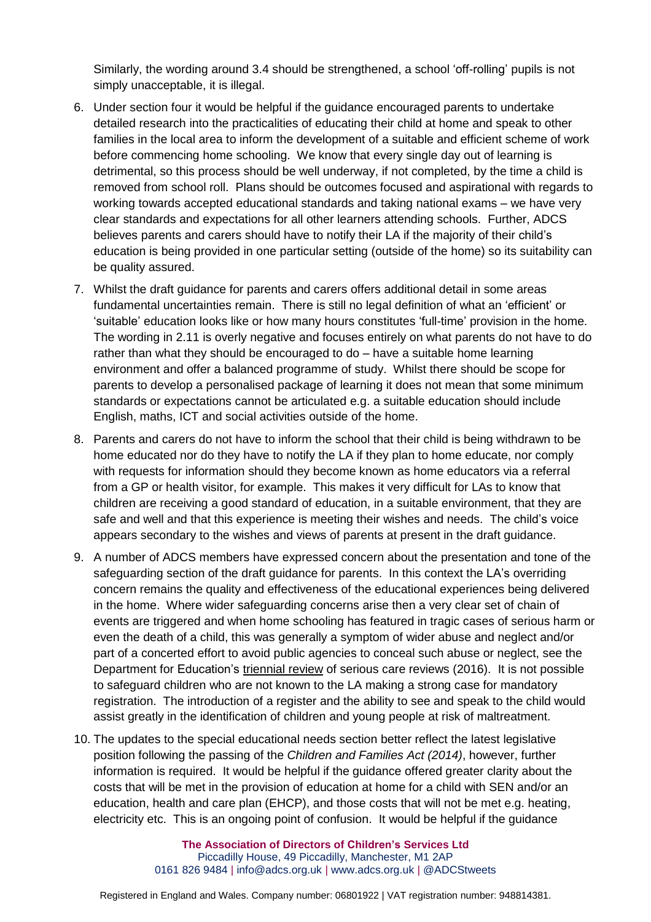Similarly, the wording around 3.4 should be strengthened, a school 'off-rolling' pupils is not simply unacceptable, it is illegal.

- 6. Under section four it would be helpful if the guidance encouraged parents to undertake detailed research into the practicalities of educating their child at home and speak to other families in the local area to inform the development of a suitable and efficient scheme of work before commencing home schooling. We know that every single day out of learning is detrimental, so this process should be well underway, if not completed, by the time a child is removed from school roll. Plans should be outcomes focused and aspirational with regards to working towards accepted educational standards and taking national exams – we have very clear standards and expectations for all other learners attending schools. Further, ADCS believes parents and carers should have to notify their LA if the majority of their child's education is being provided in one particular setting (outside of the home) so its suitability can be quality assured.
- 7. Whilst the draft guidance for parents and carers offers additional detail in some areas fundamental uncertainties remain. There is still no legal definition of what an 'efficient' or 'suitable' education looks like or how many hours constitutes 'full-time' provision in the home. The wording in 2.11 is overly negative and focuses entirely on what parents do not have to do rather than what they should be encouraged to do – have a suitable home learning environment and offer a balanced programme of study. Whilst there should be scope for parents to develop a personalised package of learning it does not mean that some minimum standards or expectations cannot be articulated e.g. a suitable education should include English, maths, ICT and social activities outside of the home.
- 8. Parents and carers do not have to inform the school that their child is being withdrawn to be home educated nor do they have to notify the LA if they plan to home educate, nor comply with requests for information should they become known as home educators via a referral from a GP or health visitor, for example. This makes it very difficult for LAs to know that children are receiving a good standard of education, in a suitable environment, that they are safe and well and that this experience is meeting their wishes and needs. The child's voice appears secondary to the wishes and views of parents at present in the draft guidance.
- 9. A number of ADCS members have expressed concern about the presentation and tone of the safeguarding section of the draft guidance for parents. In this context the LA's overriding concern remains the quality and effectiveness of the educational experiences being delivered in the home. Where wider safeguarding concerns arise then a very clear set of chain of events are triggered and when home schooling has featured in tragic cases of serious harm or even the death of a child, this was generally a symptom of wider abuse and neglect and/or part of a concerted effort to avoid public agencies to conceal such abuse or neglect, see the Department for Education's [triennial](https://assets.publishing.service.gov.uk/government/uploads/system/uploads/attachment_data/file/533826/Triennial_Analysis_of_SCRs_2011-2014_-__Pathways_to_harm_and_protection.pdf) review of serious care reviews (2016). It is not possible to safeguard children who are not known to the LA making a strong case for mandatory registration. The introduction of a register and the ability to see and speak to the child would assist greatly in the identification of children and young people at risk of maltreatment.
- 10. The updates to the special educational needs section better reflect the latest legislative position following the passing of the *Children and Families Act (2014)*, however, further information is required. It would be helpful if the guidance offered greater clarity about the costs that will be met in the provision of education at home for a child with SEN and/or an education, health and care plan (EHCP), and those costs that will not be met e.g. heating, electricity etc. This is an ongoing point of confusion. It would be helpful if the guidance

**The Association of Directors of Children's Services Ltd** Piccadilly House, 49 Piccadilly, Manchester, M1 2AP 0161 826 9484 | [info@adcs.org.uk](mailto:info@adcs.org.uk) | [www.adcs.org.uk](http://www.adcs.org.uk/) | [@ADCStweets](https://twitter.com/ADCStweets)